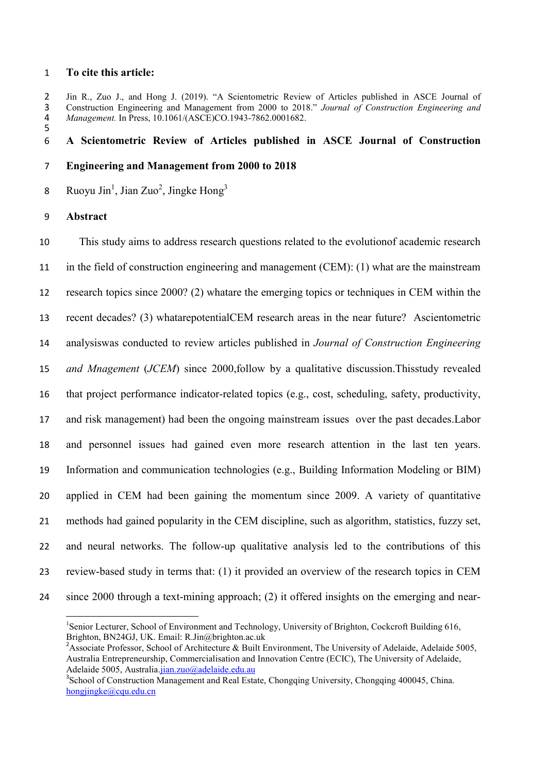## **To cite this article:**

2 Jin R., Zuo J., and Hong J. (2019). "A Scientometric Review of Articles published in ASCE Journal of Construction Engineering and Management from 2000 to 2018." Journal of Construction Engineering and Construction Engineering and Management from 2000 to 2018." *Journal of Construction Engineering and Management.* In Press, 10.1061/(ASCE)CO.1943-7862.0001682.

# **A Scientometric Review of Articles published in ASCE Journal of Construction**

## **Engineering and Management from 2000 to 2018**

8 Ruoyu Jin<sup>1</sup>, Jian Zuo<sup>2</sup>, Jingke Hong<sup>3</sup>

**Abstract**

 This study aims to address research questions related to the evolutionof academic research in the field of construction engineering and management (CEM): (1) what are the mainstream research topics since 2000? (2) whatare the emerging topics or techniques in CEM within the recent decades? (3) whatarepotentialCEM research areas in the near future? Ascientometric analysiswas conducted to review articles published in *Journal of Construction Engineering and Mnagement* (*JCEM*) since 2000,follow by a qualitative discussion.Thisstudy revealed that project performance indicator-related topics (e.g., cost, scheduling, safety, productivity, and risk management) had been the ongoing mainstream issues over the past decades.Labor and personnel issues had gained even more research attention in the last ten years. Information and communication technologies (e.g., Building Information Modeling or BIM) applied in CEM had been gaining the momentum since 2009. A variety of quantitative methods had gained popularity in the CEM discipline, such as algorithm, statistics, fuzzy set, and neural networks. The follow-up qualitative analysis led to the contributions of this review-based study in terms that: (1) it provided an overview of the research topics in CEM since 2000 through a text-mining approach; (2) it offered insights on the emerging and near-

 $\frac{1}{1}$ <sup>1</sup>Senior Lecturer, School of Environment and Technology, University of Brighton, Cockcroft Building 616, Brighton, BN24GJ, UK. Email: R.Jin@brighton.ac.uk

<sup>&</sup>lt;sup>2</sup> Associate Professor, School of Architecture & Built Environment, The University of Adelaide, Adelaide 5005, Australia Entrepreneurship, Commercialisation and Innovation Centre (ECIC), The University of Adelaide, Adelaide 5005, Australia.jian.zuo@adelaide.edu.au

<sup>&</sup>lt;sup>3</sup>School of Construction Management and Real Estate, Chongqing University, Chongqing 400045, China. hongjingke@cqu.edu.cn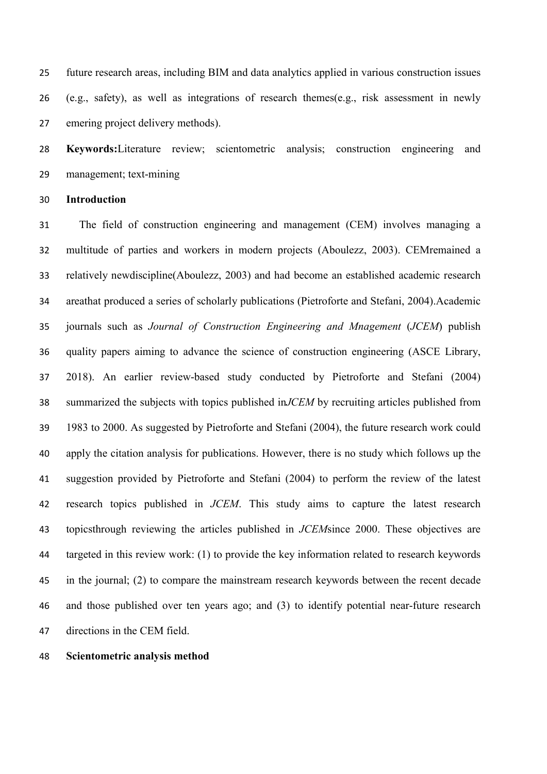future research areas, including BIM and data analytics applied in various construction issues (e.g., safety), as well as integrations of research themes(e.g., risk assessment in newly emering project delivery methods).

 **Keywords:**Literature review; scientometric analysis; construction engineering and management; text-mining

**Introduction**

 The field of construction engineering and management (CEM) involves managing a multitude of parties and workers in modern projects (Aboulezz, 2003). CEMremained a relatively newdiscipline(Aboulezz, 2003) and had become an established academic research areathat produced a series of scholarly publications (Pietroforte and Stefani, 2004).Academic journals such as *Journal of Construction Engineering and Mnagement* (*JCEM*) publish quality papers aiming to advance the science of construction engineering (ASCE Library, 2018). An earlier review-based study conducted by Pietroforte and Stefani (2004) summarized the subjects with topics published in*JCEM* by recruiting articles published from 1983 to 2000. As suggested by Pietroforte and Stefani (2004), the future research work could apply the citation analysis for publications. However, there is no study which follows up the suggestion provided by Pietroforte and Stefani (2004) to perform the review of the latest research topics published in *JCEM*. This study aims to capture the latest research topicsthrough reviewing the articles published in *JCEM*since 2000. These objectives are targeted in this review work: (1) to provide the key information related to research keywords in the journal; (2) to compare the mainstream research keywords between the recent decade and those published over ten years ago; and (3) to identify potential near-future research directions in the CEM field.

#### **Scientometric analysis method**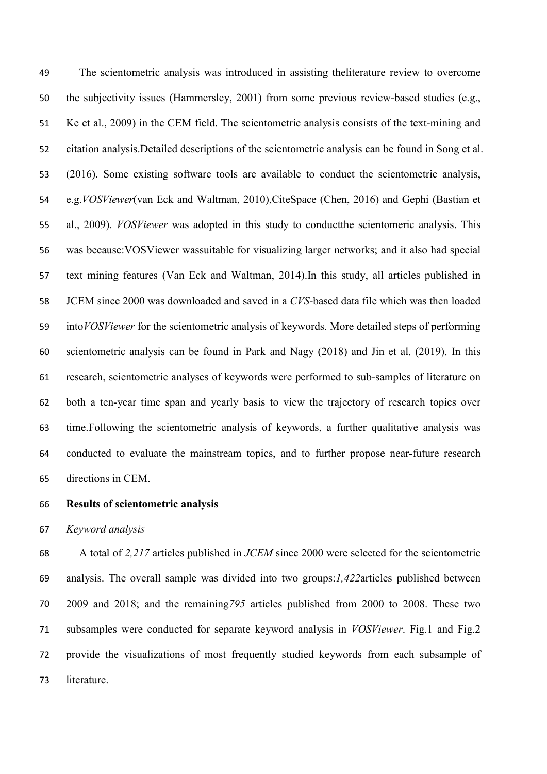The scientometric analysis was introduced in assisting theliterature review to overcome the subjectivity issues (Hammersley, 2001) from some previous review-based studies (e.g., Ke et al., 2009) in the CEM field. The scientometric analysis consists of the text-mining and citation analysis.Detailed descriptions of the scientometric analysis can be found in Song et al. (2016). Some existing software tools are available to conduct the scientometric analysis, e.g.*VOSViewer*(van Eck and Waltman, 2010),CiteSpace (Chen, 2016) and Gephi (Bastian et al., 2009). *VOSViewer* was adopted in this study to conductthe scientomeric analysis. This was because:VOSViewer wassuitable for visualizing larger networks; and it also had special text mining features (Van Eck and Waltman, 2014).In this study, all articles published in JCEM since 2000 was downloaded and saved in a *CVS*-based data file which was then loaded into*VOSViewer* for the scientometric analysis of keywords. More detailed steps of performing scientometric analysis can be found in Park and Nagy (2018) and Jin et al. (2019). In this research, scientometric analyses of keywords were performed to sub-samples of literature on both a ten-year time span and yearly basis to view the trajectory of research topics over time.Following the scientometric analysis of keywords, a further qualitative analysis was conducted to evaluate the mainstream topics, and to further propose near-future research directions in CEM.

## **Results of scientometric analysis**

#### *Keyword analysis*

 A total of *2,217* articles published in *JCEM* since 2000 were selected for the scientometric analysis. The overall sample was divided into two groups:*1,422*articles published between 2009 and 2018; and the remaining*795* articles published from 2000 to 2008. These two subsamples were conducted for separate keyword analysis in *VOSViewer*. Fig.1 and Fig.2 provide the visualizations of most frequently studied keywords from each subsample of literature.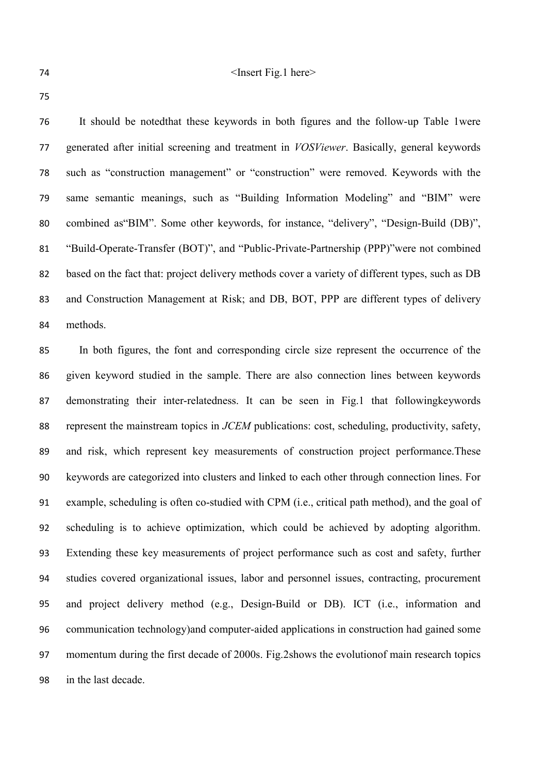#### 74 > The Shape Street Fig.1 here >  $\langle$  Insert Fig.1 here >

 It should be notedthat these keywords in both figures and the follow-up Table 1were generated after initial screening and treatment in *VOSViewer*. Basically, general keywords such as "construction management" or "construction" were removed. Keywords with the same semantic meanings, such as "Building Information Modeling" and "BIM" were combined as"BIM". Some other keywords, for instance, "delivery", "Design-Build (DB)", "Build-Operate-Transfer (BOT)", and "Public-Private-Partnership (PPP)"were not combined based on the fact that: project delivery methods cover a variety of different types, such as DB and Construction Management at Risk; and DB, BOT, PPP are different types of delivery methods.

 In both figures, the font and corresponding circle size represent the occurrence of the given keyword studied in the sample. There are also connection lines between keywords demonstrating their inter-relatedness. It can be seen in Fig.1 that followingkeywords represent the mainstream topics in *JCEM* publications: cost, scheduling, productivity, safety, and risk, which represent key measurements of construction project performance.These keywords are categorized into clusters and linked to each other through connection lines. For example, scheduling is often co-studied with CPM (i.e., critical path method), and the goal of scheduling is to achieve optimization, which could be achieved by adopting algorithm. Extending these key measurements of project performance such as cost and safety, further studies covered organizational issues, labor and personnel issues, contracting, procurement and project delivery method (e.g., Design-Build or DB). ICT (i.e., information and communication technology)and computer-aided applications in construction had gained some momentum during the first decade of 2000s. Fig.2shows the evolutionof main research topics in the last decade.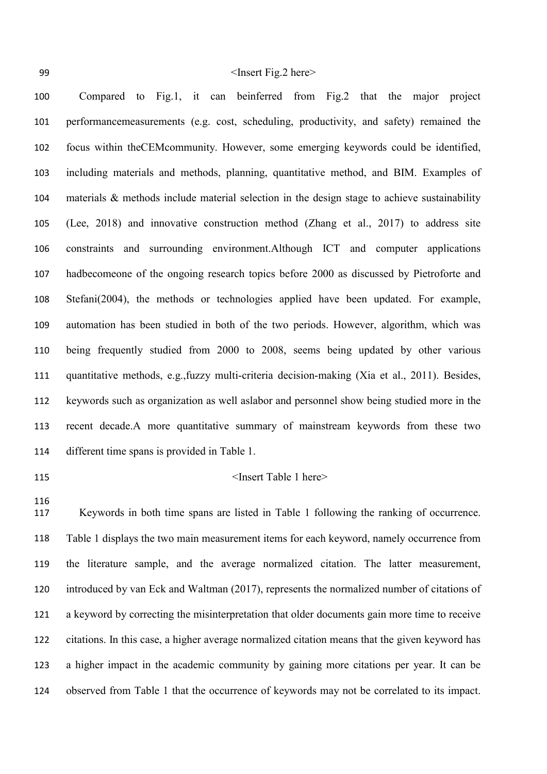# 99 > Sheet Fig.2 here >  $\langle$  Insert Fig.2 here >

 Compared to Fig.1, it can beinferred from Fig.2 that the major project performancemeasurements (e.g. cost, scheduling, productivity, and safety) remained the focus within theCEMcommunity. However, some emerging keywords could be identified, including materials and methods, planning, quantitative method, and BIM. Examples of materials & methods include material selection in the design stage to achieve sustainability (Lee, 2018) and innovative construction method (Zhang et al., 2017) to address site constraints and surrounding environment.Although ICT and computer applications hadbecomeone of the ongoing research topics before 2000 as discussed by Pietroforte and Stefani(2004), the methods or technologies applied have been updated. For example, automation has been studied in both of the two periods. However, algorithm, which was being frequently studied from 2000 to 2008, seems being updated by other various quantitative methods, e.g.,fuzzy multi-criteria decision-making (Xia et al., 2011). Besides, keywords such as organization as well aslabor and personnel show being studied more in the recent decade.A more quantitative summary of mainstream keywords from these two different time spans is provided in Table 1.

#### 115 Sinsert Table 1 here >

 Keywords in both time spans are listed in Table 1 following the ranking of occurrence. Table 1 displays the two main measurement items for each keyword, namely occurrence from the literature sample, and the average normalized citation. The latter measurement, introduced by van Eck and Waltman (2017), represents the normalized number of citations of a keyword by correcting the misinterpretation that older documents gain more time to receive citations. In this case, a higher average normalized citation means that the given keyword has a higher impact in the academic community by gaining more citations per year. It can be observed from Table 1 that the occurrence of keywords may not be correlated to its impact.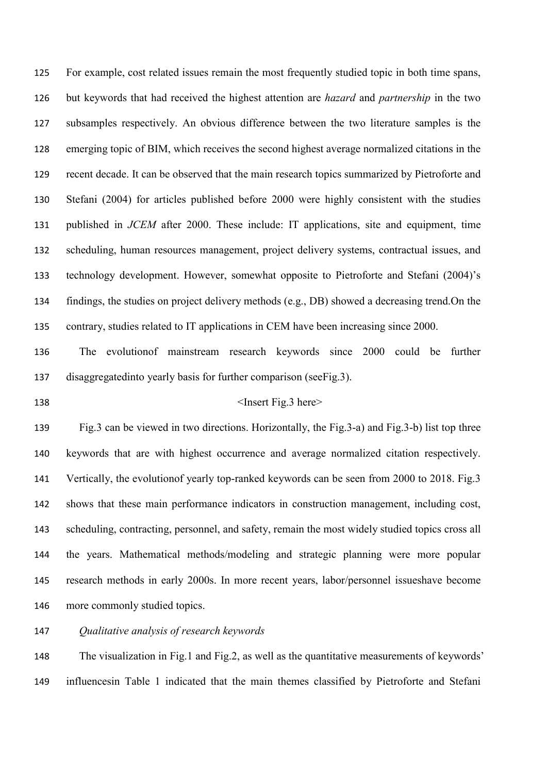For example, cost related issues remain the most frequently studied topic in both time spans, but keywords that had received the highest attention are *hazard* and *partnership* in the two subsamples respectively. An obvious difference between the two literature samples is the emerging topic of BIM, which receives the second highest average normalized citations in the recent decade. It can be observed that the main research topics summarized by Pietroforte and Stefani (2004) for articles published before 2000 were highly consistent with the studies published in *JCEM* after 2000. These include: IT applications, site and equipment, time scheduling, human resources management, project delivery systems, contractual issues, and technology development. However, somewhat opposite to Pietroforte and Stefani (2004)'s findings, the studies on project delivery methods (e.g., DB) showed a decreasing trend.On the contrary, studies related to IT applications in CEM have been increasing since 2000.

 The evolutionof mainstream research keywords since 2000 could be further disaggregatedinto yearly basis for further comparison (seeFig.3).

### 138 <Insert Fig.3 here>

 Fig.3 can be viewed in two directions. Horizontally, the Fig.3-a) and Fig.3-b) list top three keywords that are with highest occurrence and average normalized citation respectively. Vertically, the evolutionof yearly top-ranked keywords can be seen from 2000 to 2018. Fig.3 shows that these main performance indicators in construction management, including cost, 143 scheduling, contracting, personnel, and safety, remain the most widely studied topics cross all the years. Mathematical methods/modeling and strategic planning were more popular research methods in early 2000s. In more recent years, labor/personnel issueshave become more commonly studied topics.

*Qualitative analysis of research keywords*

 The visualization in Fig.1 and Fig.2, as well as the quantitative measurements of keywords' influencesin Table 1 indicated that the main themes classified by Pietroforte and Stefani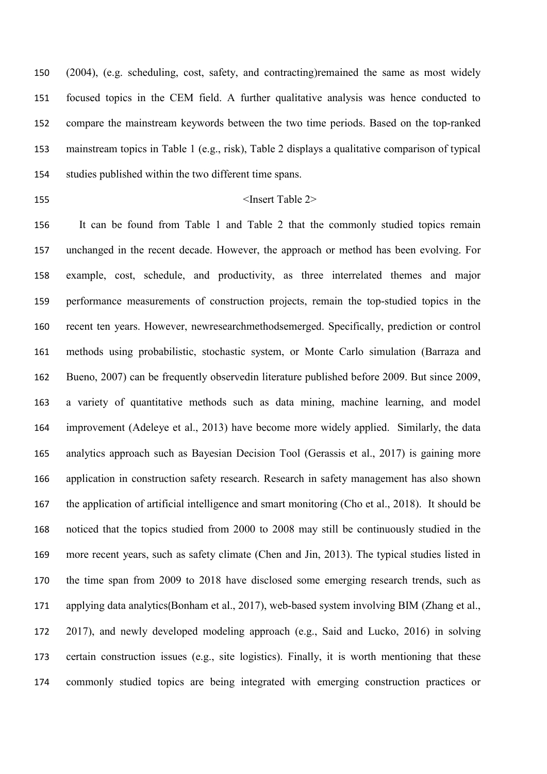(2004), (e.g. scheduling, cost, safety, and contracting)remained the same as most widely focused topics in the CEM field. A further qualitative analysis was hence conducted to compare the mainstream keywords between the two time periods. Based on the top-ranked mainstream topics in Table 1 (e.g., risk), Table 2 displays a qualitative comparison of typical studies published within the two different time spans.

# 155 <Insert Table 2>

 It can be found from Table 1 and Table 2 that the commonly studied topics remain unchanged in the recent decade. However, the approach or method has been evolving. For example, cost, schedule, and productivity, as three interrelated themes and major performance measurements of construction projects, remain the top-studied topics in the recent ten years. However, newresearchmethodsemerged. Specifically, prediction or control methods using probabilistic, stochastic system, or Monte Carlo simulation (Barraza and Bueno, 2007) can be frequently observedin literature published before 2009. But since 2009, a variety of quantitative methods such as data mining, machine learning, and model improvement (Adeleye et al., 2013) have become more widely applied. Similarly, the data analytics approach such as Bayesian Decision Tool (Gerassis et al., 2017) is gaining more application in construction safety research. Research in safety management has also shown the application of artificial intelligence and smart monitoring (Cho et al., 2018). It should be noticed that the topics studied from 2000 to 2008 may still be continuously studied in the more recent years, such as safety climate (Chen and Jin, 2013). The typical studies listed in the time span from 2009 to 2018 have disclosed some emerging research trends, such as applying data analytics(Bonham et al., 2017), web-based system involving BIM (Zhang et al., 2017), and newly developed modeling approach (e.g., Said and Lucko, 2016) in solving certain construction issues (e.g., site logistics). Finally, it is worth mentioning that these commonly studied topics are being integrated with emerging construction practices or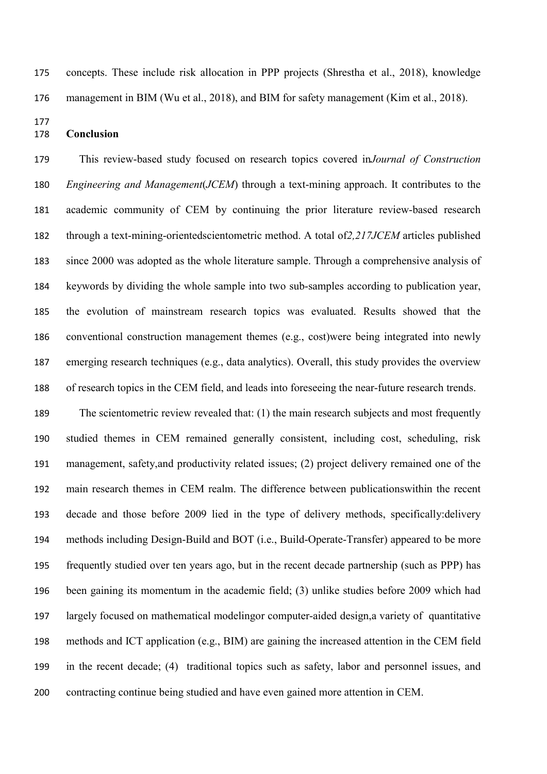#### **Conclusion**

 This review-based study focused on research topics covered in*Journal of Construction Engineering and Management*(*JCEM*) through a text-mining approach. It contributes to the academic community of CEM by continuing the prior literature review-based research through a text-mining-orientedscientometric method. A total of*2,217JCEM* articles published since 2000 was adopted as the whole literature sample. Through a comprehensive analysis of keywords by dividing the whole sample into two sub-samples according to publication year, the evolution of mainstream research topics was evaluated. Results showed that the conventional construction management themes (e.g., cost)were being integrated into newly emerging research techniques (e.g., data analytics). Overall, this study provides the overview of research topics in the CEM field, and leads into foreseeing the near-future research trends.

concepts. These include risk allocation in PPP projects (Shrestha et al., 2018), knowledge

management in BIM (Wu et al., 2018), and BIM for safety management (Kim et al., 2018).

 The scientometric review revealed that: (1) the main research subjects and most frequently studied themes in CEM remained generally consistent, including cost, scheduling, risk management, safety,and productivity related issues; (2) project delivery remained one of the main research themes in CEM realm. The difference between publicationswithin the recent decade and those before 2009 lied in the type of delivery methods, specifically:delivery methods including Design-Build and BOT (i.e., Build-Operate-Transfer) appeared to be more frequently studied over ten years ago, but in the recent decade partnership (such as PPP) has been gaining its momentum in the academic field; (3) unlike studies before 2009 which had largely focused on mathematical modelingor computer-aided design,a variety of quantitative methods and ICT application (e.g., BIM) are gaining the increased attention in the CEM field in the recent decade; (4) traditional topics such as safety, labor and personnel issues, and contracting continue being studied and have even gained more attention in CEM.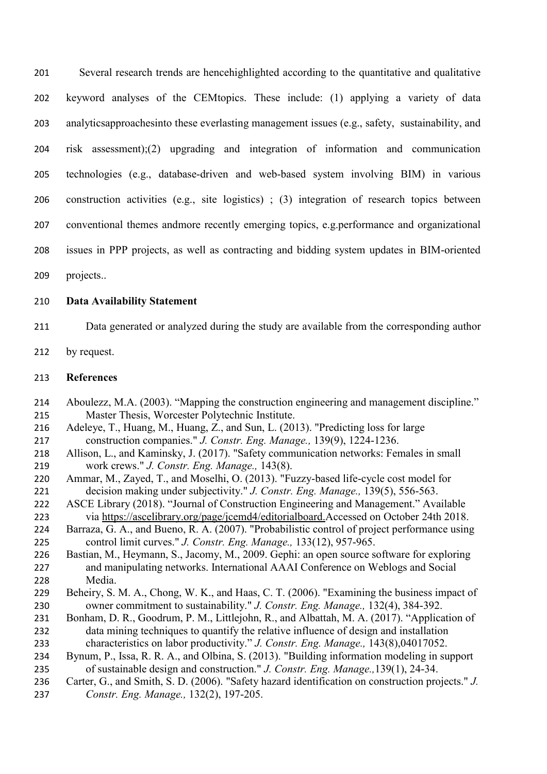Several research trends are hencehighlighted according to the quantitative and qualitative keyword analyses of the CEMtopics. These include: (1) applying a variety of data analyticsapproachesinto these everlasting management issues (e.g., safety, sustainability, and risk assessment);(2) upgrading and integration of information and communication technologies (e.g., database-driven and web-based system involving BIM) in various construction activities (e.g., site logistics) ; (3) integration of research topics between conventional themes andmore recently emerging topics, e.g.performance and organizational issues in PPP projects, as well as contracting and bidding system updates in BIM-oriented

projects..

# **Data Availability Statement**

- Data generated or analyzed during the study are available from the corresponding author
- 212 by request.

# **References**

- Aboulezz, M.A. (2003). "Mapping the construction engineering and management discipline." Master Thesis, Worcester Polytechnic Institute.
- Adeleye, T., Huang, M., Huang, Z., and Sun, L. (2013). "Predicting loss for large construction companies." *J. Constr. Eng. Manage.,* 139(9), 1224-1236.
- Allison, L., and Kaminsky, J. (2017). "Safety communication networks: Females in small work crews." *J. Constr. Eng. Manage.,* 143(8).
- Ammar, M., Zayed, T., and Moselhi, O. (2013). "Fuzzy-based life-cycle cost model for decision making under subjectivity." *J. Constr. Eng. Manage.,* 139(5), 556-563.
- ASCE Library (2018). "Journal of Construction Engineering and Management." Available via [https://ascelibrary.org/page/jcemd4/editorialboard](https://ascelibrary.org/page/jcemd4/editorialboard.).Accessed on October 24th 2018.
- Barraza, G. A., and Bueno, R. A. (2007). "Probabilistic control of project performance using control limit curves." *J. Constr. Eng. Manage.,* 133(12), 957-965.
- Bastian, M., Heymann, S., Jacomy, M., 2009. Gephi: an open source software for exploring and manipulating networks. International AAAI Conference on Weblogs and Social Media.
- Beheiry, S. M. A., Chong, W. K., and Haas, C. T. (2006). "Examining the business impact of owner commitment to sustainability." *J. Constr. Eng. Manage.,* 132(4), 384-392.
- 231 Bonham, D. R., Goodrum, P. M., Littlejohn, R., and Albattah, M. A. (2017). "Application of data mining techniques to quantify the relative influence of design and installation characteristics on labor productivity." *J. Constr. Eng. Manage.,* 143(8),04017052.
- Bynum, P., Issa, R. R. A., and Olbina, S. (2013). "Building information modeling in support of sustainable design and construction." *J. Constr. Eng. Manage.,*139(1), 24-34.
- Carter, G., and Smith, S. D. (2006). "Safety hazard identification on construction projects." *J. Constr. Eng. Manage.,* 132(2), 197-205.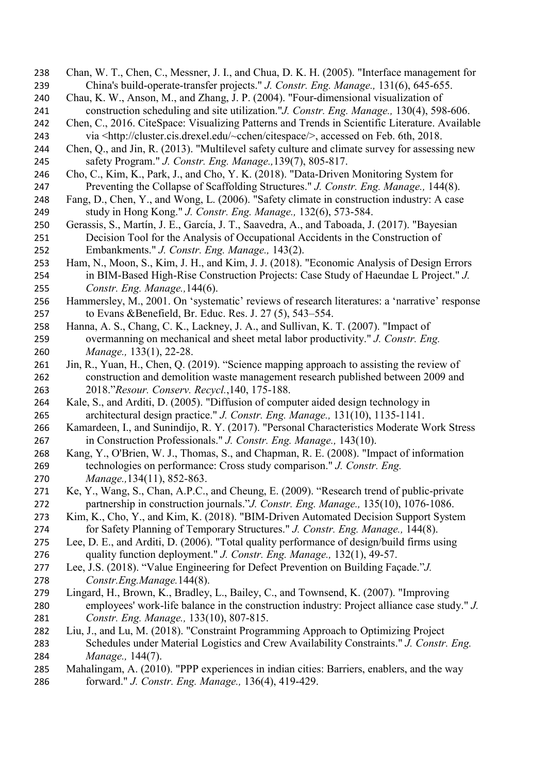- Chan, W. T., Chen, C., Messner, J. I., and Chua, D. K. H. (2005). "Interface management for China's build-operate-transfer projects." *J. Constr. Eng. Manage.,* 131(6), 645-655.
- Chau, K. W., Anson, M., and Zhang, J. P. (2004). "Four-dimensional visualization of construction scheduling and site utilization."*J. Constr. Eng. Manage.,* 130(4), 598-606.
- Chen, C., 2016. CiteSpace: Visualizing Patterns and Trends in Scientific Literature. Available via <http://cluster.cis.drexel.edu/~cchen/citespace/>, accessed on Feb. 6th, 2018.
- Chen, Q., and Jin, R. (2013). "Multilevel safety culture and climate survey for assessing new safety Program." *J. Constr. Eng. Manage.,*139(7), 805-817.
- Cho, C., Kim, K., Park, J., and Cho, Y. K. (2018). "Data-Driven Monitoring System for Preventing the Collapse of Scaffolding Structures." *J. Constr. Eng. Manage.,* 144(8).
- Fang, D., Chen, Y., and Wong, L. (2006). "Safety climate in construction industry: A case study in Hong Kong." *J. Constr. Eng. Manage.,* 132(6), 573-584.
- Gerassis, S., Martín, J. E., García, J. T., Saavedra, A., and Taboada, J. (2017). "Bayesian Decision Tool for the Analysis of Occupational Accidents in the Construction of Embankments." *J. Constr. Eng. Manage.,* 143(2).
- Ham, N., Moon, S., Kim, J. H., and Kim, J. J. (2018). "Economic Analysis of Design Errors in BIM-Based High-Rise Construction Projects: Case Study of Haeundae L Project." *J. Constr. Eng. Manage.,*144(6).
- Hammersley, M., 2001. On 'systematic' reviews of research literatures: a 'narrative' response to Evans &Benefield, Br. Educ. Res. J. 27 (5), 543–554.
- Hanna, A. S., Chang, C. K., Lackney, J. A., and Sullivan, K. T. (2007). "Impact of overmanning on mechanical and sheet metal labor productivity." *J. Constr. Eng. Manage.,* 133(1), 22-28.
- Jin, R., Yuan, H., Chen, Q. (2019). "Science mapping approach to assisting the review of construction and demolition waste management research published between 2009 and 2018."*Resour. Conserv. Recycl.*,140, 175-188.
- Kale, S., and Arditi, D. (2005). "Diffusion of computer aided design technology in architectural design practice." *J. Constr. Eng. Manage.,* 131(10), 1135-1141.
- Kamardeen, I., and Sunindijo, R. Y. (2017). "Personal Characteristics Moderate Work Stress in Construction Professionals." *J. Constr. Eng. Manage.,* 143(10).
- Kang, Y., O'Brien, W. J., Thomas, S., and Chapman, R. E. (2008). "Impact of information technologies on performance: Cross study comparison." *J. Constr. Eng. Manage.,*134(11), 852-863.
- Ke, Y., Wang, S., Chan, A.P.C., and Cheung, E. (2009). "Research trend of public-private partnership in construction journals."*J. Constr. Eng. Manage.,* 135(10), 1076-1086.
- Kim, K., Cho, Y., and Kim, K. (2018). "BIM-Driven Automated Decision Support System for Safety Planning of Temporary Structures." *J. Constr. Eng. Manage.,* 144(8).
- Lee, D. E., and Arditi, D. (2006). "Total quality performance of design/build firms using quality function deployment." *J. Constr. Eng. Manage.,* 132(1), 49-57.
- Lee, J.S. (2018). "Value Engineering for Defect Prevention on Building Façade."*J. Constr.Eng.Manage.*144(8).
- Lingard, H., Brown, K., Bradley, L., Bailey, C., and Townsend, K. (2007). "Improving employees' work-life balance in the construction industry: Project alliance case study." *J. Constr. Eng. Manage.,* 133(10), 807-815.
- Liu, J., and Lu, M. (2018). "Constraint Programming Approach to Optimizing Project Schedules under Material Logistics and Crew Availability Constraints." *J. Constr. Eng. Manage.,* 144(7).
- Mahalingam, A. (2010). "PPP experiences in indian cities: Barriers, enablers, and the way forward." *J. Constr. Eng. Manage.,* 136(4), 419-429.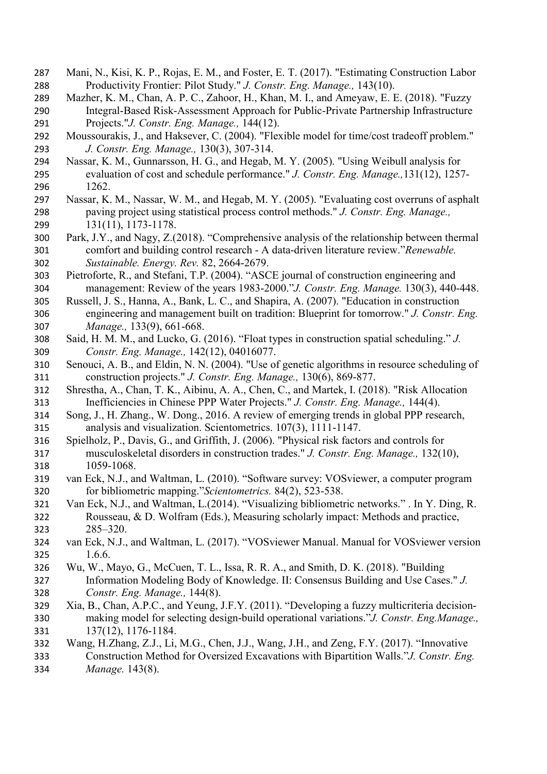- Mani, N., Kisi, K. P., Rojas, E. M., and Foster, E. T. (2017). "Estimating Construction Labor Productivity Frontier: Pilot Study." *J. Constr. Eng. Manage.,* 143(10).
- Mazher, K. M., Chan, A. P. C., Zahoor, H., Khan, M. I., and Ameyaw, E. E. (2018). "Fuzzy Integral-Based Risk-Assessment Approach for Public-Private Partnership Infrastructure Projects."*J. Constr. Eng. Manage.,* 144(12).
- Moussourakis, J., and Haksever, C. (2004). "Flexible model for time/cost tradeoff problem." *J. Constr. Eng. Manage.,* 130(3), 307-314.
- Nassar, K. M., Gunnarsson, H. G., and Hegab, M. Y. (2005). "Using Weibull analysis for evaluation of cost and schedule performance." *J. Constr. Eng. Manage.,*131(12), 1257- 1262.
- Nassar, K. M., Nassar, W. M., and Hegab, M. Y. (2005). "Evaluating cost overruns of asphalt paving project using statistical process control methods." *J. Constr. Eng. Manage.,* 131(11), 1173-1178.
- Park, J.Y., and Nagy, Z.(2018). "Comprehensive analysis of the relationship between thermal comfort and building control research - A data-driven literature review."*Renewable. Sustainable. Energy. Rev.* 82, 2664-2679.
- Pietroforte, R., and Stefani, T.P. (2004). "ASCE journal of construction engineering and management: Review of the years 1983-2000."*J. Constr. Eng. Manage.* 130(3), 440-448.
- Russell, J. S., Hanna, A., Bank, L. C., and Shapira, A. (2007). "Education in construction engineering and management built on tradition: Blueprint for tomorrow." *J. Constr. Eng. Manage.,* 133(9), 661-668.
- Said, H. M. M., and Lucko, G. (2016). "Float types in construction spatial scheduling." *J. Constr. Eng. Manage.,* 142(12), 04016077.
- Senouci, A. B., and Eldin, N. N. (2004). "Use of genetic algorithms in resource scheduling of construction projects." *J. Constr. Eng. Manage.,* 130(6), 869-877.
- Shrestha, A., Chan, T. K., Aibinu, A. A., Chen, C., and Martek, I. (2018). "Risk Allocation Inefficiencies in Chinese PPP Water Projects." *J. Constr. Eng. Manage.,* 144(4).
- Song, J., H. Zhang., W. Dong., 2016. A review of emerging trends in global PPP research, analysis and visualization. Scientometrics. 107(3), 1111-1147.
- Spielholz, P., Davis, G., and Griffith, J. (2006). "Physical risk factors and controls for musculoskeletal disorders in construction trades." *J. Constr. Eng. Manage.,* 132(10), 1059-1068.
- van Eck, N.J., and Waltman, L. (2010). "Software survey: VOSviewer, a computer program for bibliometric mapping."*Scientometrics.* 84(2), 523-538.
- Van Eck, N.J., and Waltman, L.(2014). "Visualizing bibliometric networks." . In Y. Ding, R. Rousseau, & D. Wolfram (Eds.), Measuring scholarly impact: Methods and practice, 285–320.
- van Eck, N.J., and Waltman, L. (2017). "VOSviewer Manual. Manual for VOSviewer version 1.6.6.
- Wu, W., Mayo, G., McCuen, T. L., Issa, R. R. A., and Smith, D. K. (2018). "Building Information Modeling Body of Knowledge. II: Consensus Building and Use Cases." *J. Constr. Eng. Manage.,* 144(8).
- Xia, B., Chan, A.P.C., and Yeung, J.F.Y. (2011). "Developing a fuzzy multicriteria decision- making model for selecting design-build operational variations."*J. Constr. Eng.Manage.,*  137(12), 1176-1184.
- Wang, H.Zhang, Z.J., Li, M.G., Chen, J.J., Wang, J.H., and Zeng, F.Y. (2017). "Innovative
- Construction Method for Oversized Excavations with Bipartition Walls."*J. Constr. Eng. Manage.* 143(8).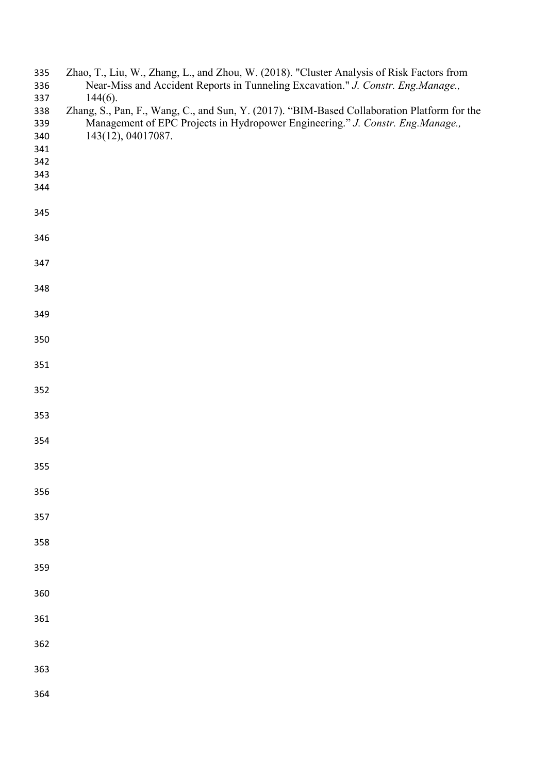| 335<br>336 | Zhao, T., Liu, W., Zhang, L., and Zhou, W. (2018). "Cluster Analysis of Risk Factors from<br>Near-Miss and Accident Reports in Tunneling Excavation." J. Constr. Eng.Manage., |
|------------|-------------------------------------------------------------------------------------------------------------------------------------------------------------------------------|
| 337        | $144(6)$ .                                                                                                                                                                    |
| 338        | Zhang, S., Pan, F., Wang, C., and Sun, Y. (2017). "BIM-Based Collaboration Platform for the                                                                                   |
| 339        | Management of EPC Projects in Hydropower Engineering." J. Constr. Eng.Manage.,                                                                                                |
|            | 143(12), 04017087.                                                                                                                                                            |
| 340        |                                                                                                                                                                               |
| 341        |                                                                                                                                                                               |
| 342        |                                                                                                                                                                               |
| 343        |                                                                                                                                                                               |
| 344        |                                                                                                                                                                               |
| 345        |                                                                                                                                                                               |
| 346        |                                                                                                                                                                               |
| 347        |                                                                                                                                                                               |
| 348        |                                                                                                                                                                               |
| 349        |                                                                                                                                                                               |
| 350        |                                                                                                                                                                               |
| 351        |                                                                                                                                                                               |
| 352        |                                                                                                                                                                               |
| 353        |                                                                                                                                                                               |
| 354        |                                                                                                                                                                               |
| 355        |                                                                                                                                                                               |
| 356        |                                                                                                                                                                               |
| 357        |                                                                                                                                                                               |
| 358        |                                                                                                                                                                               |
| 359        |                                                                                                                                                                               |
| 360        |                                                                                                                                                                               |
| 361        |                                                                                                                                                                               |
| 362        |                                                                                                                                                                               |
| 363        |                                                                                                                                                                               |
| 364        |                                                                                                                                                                               |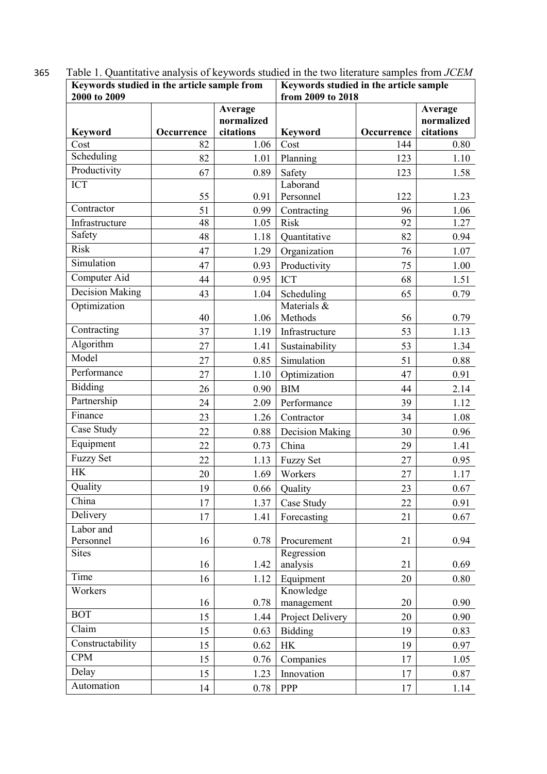| Keywords studied in the article sample from<br>2000 to 2009 |            |                                    | Keywords studied in the article sample<br>from 2009 to 2018 |            |                                    |
|-------------------------------------------------------------|------------|------------------------------------|-------------------------------------------------------------|------------|------------------------------------|
| <b>Keyword</b>                                              | Occurrence | Average<br>normalized<br>citations | <b>Keyword</b>                                              | Occurrence | Average<br>normalized<br>citations |
| Cost                                                        | 82         | 1.06                               | Cost                                                        | 144        | 0.80                               |
| Scheduling                                                  | 82         | 1.01                               | Planning                                                    | 123        | 1.10                               |
| Productivity                                                | 67         | 0.89                               | Safety                                                      | 123        | 1.58                               |
| <b>ICT</b>                                                  | 55         | 0.91                               | Laborand<br>Personnel                                       | 122        | 1.23                               |
| Contractor                                                  | 51         | 0.99                               | Contracting                                                 | 96         | 1.06                               |
| Infrastructure                                              | 48         | 1.05                               | Risk                                                        | 92         | 1.27                               |
| Safety                                                      | 48         | 1.18                               | Quantitative                                                | 82         | 0.94                               |
| <b>Risk</b>                                                 | 47         | 1.29                               | Organization                                                | 76         | 1.07                               |
| Simulation                                                  | 47         | 0.93                               | Productivity                                                | 75         | 1.00                               |
| Computer Aid                                                | 44         | 0.95                               | <b>ICT</b>                                                  | 68         | 1.51                               |
| Decision Making                                             | 43         | 1.04                               | Scheduling                                                  | 65         | 0.79                               |
| Optimization                                                | 40         | 1.06                               | Materials &<br>Methods                                      | 56         | 0.79                               |
| Contracting                                                 | 37         | 1.19                               | Infrastructure                                              | 53         | 1.13                               |
| Algorithm                                                   | 27         | 1.41                               | Sustainability                                              | 53         | 1.34                               |
| Model                                                       | 27         | 0.85                               | Simulation                                                  | 51         | 0.88                               |
| Performance                                                 | 27         | 1.10                               | Optimization                                                | 47         | 0.91                               |
| Bidding                                                     | 26         | 0.90                               | <b>BIM</b>                                                  | 44         | 2.14                               |
| Partnership                                                 | 24         | 2.09                               | Performance                                                 | 39         | 1.12                               |
| Finance                                                     | 23         | 1.26                               | Contractor                                                  | 34         | 1.08                               |
| Case Study                                                  | 22         | 0.88                               | Decision Making                                             | 30         | 0.96                               |
| Equipment                                                   | 22         | 0.73                               | China                                                       | 29         | 1.41                               |
| <b>Fuzzy Set</b>                                            | 22         | 1.13                               | <b>Fuzzy Set</b>                                            | 27         | 0.95                               |
| <b>HK</b>                                                   | 20         | 1.69                               | Workers                                                     | 27         | 1.17                               |
| Quality                                                     | 19         | 0.66                               | Quality                                                     | 23         | 0.67                               |
| China                                                       | 17         | 1.37                               | Case Study                                                  | 22         | 0.91                               |
| Delivery                                                    | 17         | 1.41                               | Forecasting                                                 | 21         | 0.67                               |
| Labor and<br>Personnel                                      | 16         | 0.78                               | Procurement                                                 | 21         | 0.94                               |
| <b>Sites</b>                                                | 16         | 1.42                               | Regression<br>analysis                                      | 21         | 0.69                               |
| Time                                                        | 16         | 1.12                               | Equipment                                                   | 20         | 0.80                               |
| Workers                                                     | 16         | 0.78                               | Knowledge<br>management                                     | 20         | 0.90                               |
| <b>BOT</b>                                                  | 15         | 1.44                               | Project Delivery                                            | 20         | 0.90                               |
| Claim                                                       | 15         | 0.63                               | <b>Bidding</b>                                              | 19         | 0.83                               |
| Constructability                                            | 15         | 0.62                               | HK                                                          | 19         | 0.97                               |
| <b>CPM</b>                                                  | 15         | 0.76                               | Companies                                                   | 17         | 1.05                               |
| Delay                                                       | 15         | 1.23                               | Innovation                                                  | 17         | 0.87                               |
| Automation                                                  | 14         | 0.78                               | PPP                                                         | 17         | 1.14                               |
|                                                             |            |                                    |                                                             |            |                                    |

365 Table 1. Quantitative analysis of keywords studied in the two literature samples from *JCEM*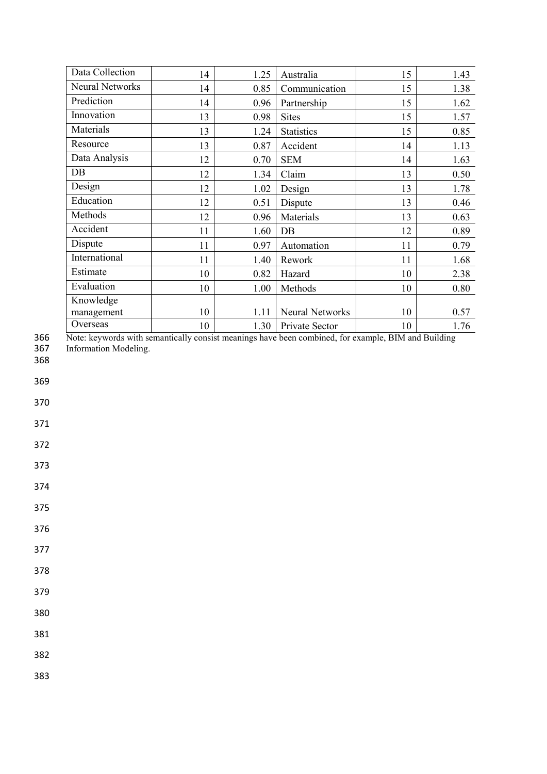| Data Collection        | 14 | 1.25 | Australia              | 15 | 1.43 |
|------------------------|----|------|------------------------|----|------|
| <b>Neural Networks</b> | 14 | 0.85 | Communication          | 15 | 1.38 |
| Prediction             | 14 | 0.96 | Partnership            | 15 | 1.62 |
| Innovation             | 13 | 0.98 | <b>Sites</b>           | 15 | 1.57 |
| Materials              | 13 | 1.24 | <b>Statistics</b>      | 15 | 0.85 |
| Resource               | 13 | 0.87 | Accident               | 14 | 1.13 |
| Data Analysis          | 12 | 0.70 | <b>SEM</b>             | 14 | 1.63 |
| DB                     | 12 | 1.34 | Claim                  | 13 | 0.50 |
| Design                 | 12 | 1.02 | Design                 | 13 | 1.78 |
| Education              | 12 | 0.51 | Dispute                | 13 | 0.46 |
| Methods                | 12 | 0.96 | Materials              | 13 | 0.63 |
| Accident               | 11 | 1.60 | DB                     | 12 | 0.89 |
| Dispute                | 11 | 0.97 | Automation             | 11 | 0.79 |
| International          | 11 | 1.40 | Rework                 | 11 | 1.68 |
| Estimate               | 10 | 0.82 | Hazard                 | 10 | 2.38 |
| Evaluation             | 10 | 1.00 | Methods                | 10 | 0.80 |
| Knowledge              |    |      |                        |    |      |
| management             | 10 | 1.11 | <b>Neural Networks</b> | 10 | 0.57 |
| Overseas               | 10 | 1.30 | Private Sector         | 10 | 1.76 |

366 Note: keywords with semantically consist meanings have been combined, for example, BIM and Building

367 Information Modeling.

368

369

370

371

372

373

374

375

376

377

378

379

380

381

382

383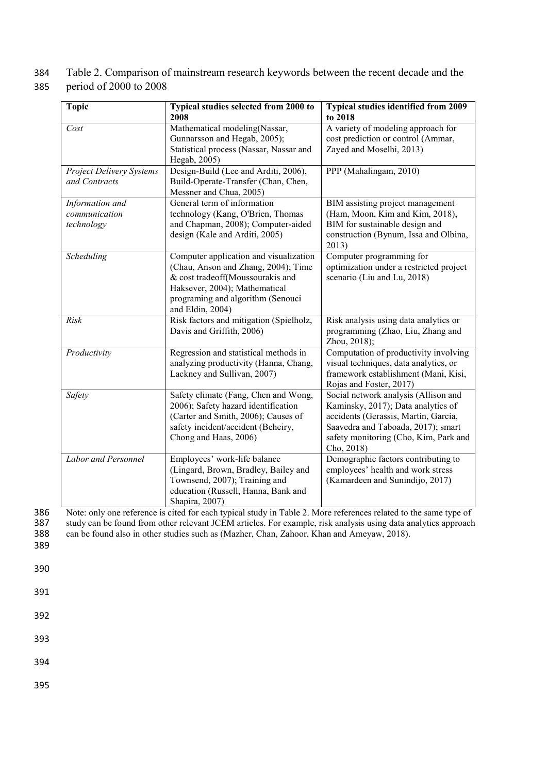384 Table 2. Comparison of mainstream research keywords between the recent decade and the 385 period of 2000 to 2008

| <b>Topic</b>             | Typical studies selected from 2000 to                                   | <b>Typical studies identified from 2009</b>                              |
|--------------------------|-------------------------------------------------------------------------|--------------------------------------------------------------------------|
|                          | 2008                                                                    | to 2018                                                                  |
| Cost                     | Mathematical modeling(Nassar,                                           | A variety of modeling approach for<br>cost prediction or control (Ammar, |
|                          | Gunnarsson and Hegab, 2005);<br>Statistical process (Nassar, Nassar and | Zayed and Moselhi, 2013)                                                 |
|                          | Hegab, 2005)                                                            |                                                                          |
| Project Delivery Systems | Design-Build (Lee and Arditi, 2006),                                    | PPP (Mahalingam, 2010)                                                   |
| and Contracts            | Build-Operate-Transfer (Chan, Chen,                                     |                                                                          |
|                          | Messner and Chua, 2005)                                                 |                                                                          |
| Information and          | General term of information                                             | BIM assisting project management                                         |
| communication            | technology (Kang, O'Brien, Thomas                                       | (Ham, Moon, Kim and Kim, 2018),                                          |
| technology               | and Chapman, 2008); Computer-aided<br>design (Kale and Arditi, 2005)    | BIM for sustainable design and                                           |
|                          |                                                                         | construction (Bynum, Issa and Olbina,<br>2013)                           |
| Scheduling               | Computer application and visualization                                  | Computer programming for                                                 |
|                          | (Chau, Anson and Zhang, 2004); Time                                     | optimization under a restricted project                                  |
|                          | & cost tradeoff(Moussourakis and                                        | scenario (Liu and Lu, 2018)                                              |
|                          | Haksever, 2004); Mathematical                                           |                                                                          |
|                          | programing and algorithm (Senouci<br>and Eldin, 2004)                   |                                                                          |
| Risk                     | Risk factors and mitigation (Spielholz,                                 | Risk analysis using data analytics or                                    |
|                          | Davis and Griffith, 2006)                                               | programming (Zhao, Liu, Zhang and                                        |
|                          |                                                                         | Zhou, 2018);                                                             |
| Productivity             | Regression and statistical methods in                                   | Computation of productivity involving                                    |
|                          | analyzing productivity (Hanna, Chang,                                   | visual techniques, data analytics, or                                    |
|                          | Lackney and Sullivan, 2007)                                             | framework establishment (Mani, Kisi,                                     |
| Safety                   | Safety climate (Fang, Chen and Wong,                                    | Rojas and Foster, 2017)<br>Social network analysis (Allison and          |
|                          | 2006); Safety hazard identification                                     | Kaminsky, 2017); Data analytics of                                       |
|                          | (Carter and Smith, 2006); Causes of                                     | accidents (Gerassis, Martín, García,                                     |
|                          | safety incident/accident (Beheiry,                                      | Saavedra and Taboada, 2017); smart                                       |
|                          | Chong and Haas, 2006)                                                   | safety monitoring (Cho, Kim, Park and                                    |
|                          |                                                                         | Cho, 2018)                                                               |
| Labor and Personnel      | Employees' work-life balance                                            | Demographic factors contributing to                                      |
|                          | (Lingard, Brown, Bradley, Bailey and                                    | employees' health and work stress                                        |
|                          | Townsend, 2007); Training and                                           | (Kamardeen and Sunindijo, 2017)                                          |
|                          | education (Russell, Hanna, Bank and                                     |                                                                          |
|                          | Shapira, 2007)                                                          |                                                                          |

386 Note: only one reference is cited for each typical study in Table 2. More references related to the same type of study can be found from other relevant JCEM articles. For example, risk analysis using data analytics app 387 study can be found from other relevant JCEM articles. For example, risk analysis using data analytics approach<br>388 can be found also in other studies such as (Mazher, Chan, Zahoor, Khan and Ameyaw, 2018). can be found also in other studies such as (Mazher, Chan, Zahoor, Khan and Ameyaw, 2018).

389

390

391

392

393

394

395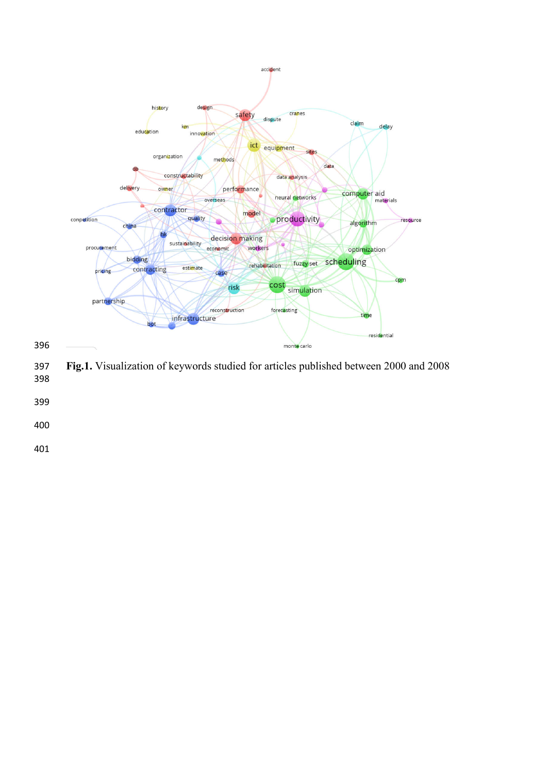

 **Fig.1.** Visualization of keywords studied for articles published between 2000 and 2008 

- 
- 
-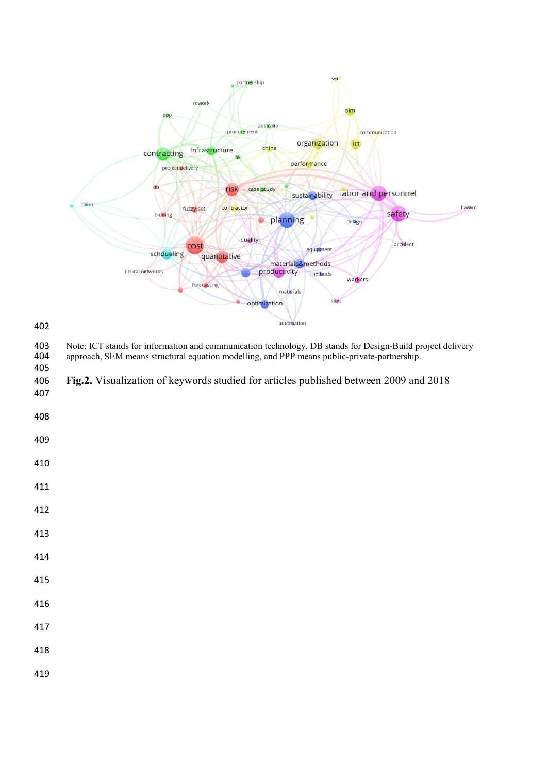

403 Note: ICT stands for information and communication technology, DB stands for Design-Build project delivery<br>404 approach, SEM means structural equation modelling, and PPP means public-private-partnership. approach, SEM means structural equation modelling, and PPP means public-private-partnership. **Fig.2.** Visualization of keywords studied for articles published between 2009 and 2018